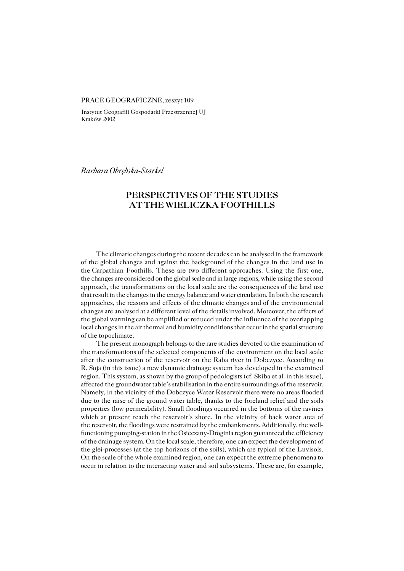## PRACE GEOGRAFICZNE, zeszyt 109

Instytut Geografiii Gospodarki Przestrzennej UJ Kraków 2002

*Barbara Obrębska−Starkel*

## **PERSPECTIVES OF THE STUDIES AT THE WIELICZKA FOOTHILLS**

The climatic changes during the recent decades can be analysed in the framework of the global changes and against the background of the changes in the land use in theCarpathian Foothills. These are two different approaches. Using the first one, the changes are considered on the global scale and in large regions, while using the second approach, the transformations on the local scale are the consequences of the land use that result in the changes in the energy balance and water circulation. In both the research approaches, the reasons and effects of the climatic changes and of the environmental changes are analysed at a different level of the details involved. Moreover, the effects of the global warming can be amplified or reduced under the influence of the overlapping local changes in the air thermal and humidity conditions that occur in the spatial structure of the topoclimate.

The present monograph belongs to the rare studies devoted to the examination of the transformations of the selected components of the environment on the local scale after the construction of the reservoir on the Raba river in Dobczyce. According to R.Soja (in this issue) a new dynamic drainage system has developed in the examined region. This system, as shown by the group of pedologists (cf. Skiba et al. in this issue), affected the groundwater table's stabilisation in the entire surroundings of the reservoir. Namely, in the vicinity of the Dobczyce Water Reservoir there were no areas flooded due to the raise of the ground water table, thanks to the foreland relief and the soils properties (low permeability). Small floodings occurred in the bottoms of the ravines which at present reach the reservoir's shore. In the vicinity of back water area of the reservoir, the floodings were restrained by the embankments. Additionally, the wellfunctioning pumping−station in the Osieczany−Droginia region guaranteed the efficiency of the drainage system. On the local scale, therefore, one can expect the development of the glei−processes (at the top horizons of the soils), which are typical of the Luvisols. On the scale of the whole examined region, one can expect the extreme phenomena to occur in relation to the interacting water and soil subsystems. These are, for example,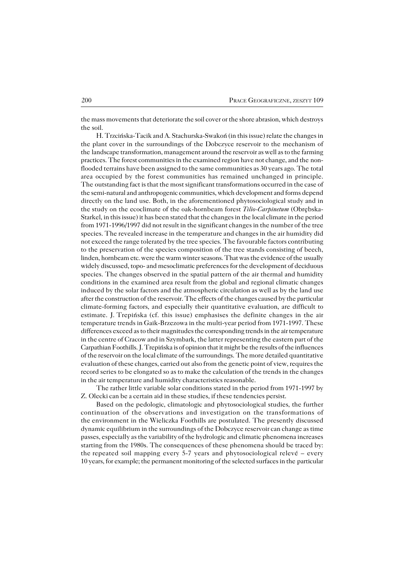the mass movements that deteriorate the soil cover or the shore abrasion, which destroys the soil.

H. Trzcińska−Tacik and A. Stachurska−Swakoń (in this issue) relate the changes in the plant cover in the surroundings of the Dobczyce reservoir to the mechanism of the landscape transformation, management around the reservoir as well as to the farming practices. The forest communities in the examined region have not change, and the nonflooded terrains have been assigned to the same communities as 30 years ago. The total area occupied by the forest communities has remained unchanged in principle. The outstanding fact is that the most significant transformations occurred in the case of the semi−natural and anthropogenic communities, which development and forms depend directly on the land use. Both, in the aforementioned phytosociological study and in thestudy on the ecoclimate of the oak−hornbeam forest *Tilio−Carpinetum* (Obrębska− Starkel, in this issue) it has been stated that the changes in the local climate in the period from 1971−1996/1997 did not result in the significant changes in the number of the tree species. The revealed increase in the temperature and changes in the air humidity did not exceed the range tolerated by the tree species. The favourable factors contributing to the preservation of the species composition of the tree stands consisting of beech, linden, hornbeam etc. were the warm winter seasons. That was the evidence of the usually widely discussed, topo− and mesoclimatic preferences for the development of deciduous species. The changes observed in the spatial pattern of the air thermal and humidity conditions in the examined area result from the global and regional climatic changes induced by the solar factors and the atmospheric circulation as well as by the land use after the construction of the reservoir. The effects of the changes caused by the particular climate−forming factors, and especially their quantitative evaluation, are difficult to estimate. J.Trepińska (cf. this issue) emphasises the definite changes in the air temperature trends in Gaik−Brzezowa in the multi−year period from 1971−1997. These differences exceed as to their magnitudes the corresponding trends in the air temperature in the centre of Cracow and in Szymbark, the latter representing the eastern part of the Carpathian Foothills. J. Trepińska is of opinion that it might be the results of the influences of the reservoir on the local climate of the surroundings. The more detailed quantitative evaluation of these changes, carried out also from the genetic point of view, requires the record series to be elongated so as to make the calculation of the trends in the changes in the air temperature and humidity characteristics reasonable.

The rather little variable solar conditions stated in the period from 1971−1997 by Z.Olecki can be a certain aid in these studies, if these tendencies persist.

Based on the pedologic, climatologic and phytosociological studies, the further continuation of the observations and investigation on the transformations of the environment in the Wieliczka Foothills are postulated. The presently discussed dynamic equilibrium in the surroundings of the Dobczyce reservoir can change as time passes, especially as the variability of the hydrologic and climatic phenomena increases starting from the 1980s. The consequences of these phenomena should be traced by: the repeated soil mapping every 5-7 years and phytosociological relevé – every 10 years, for example; the permanent monitoring of the selected surfaces in theparticular